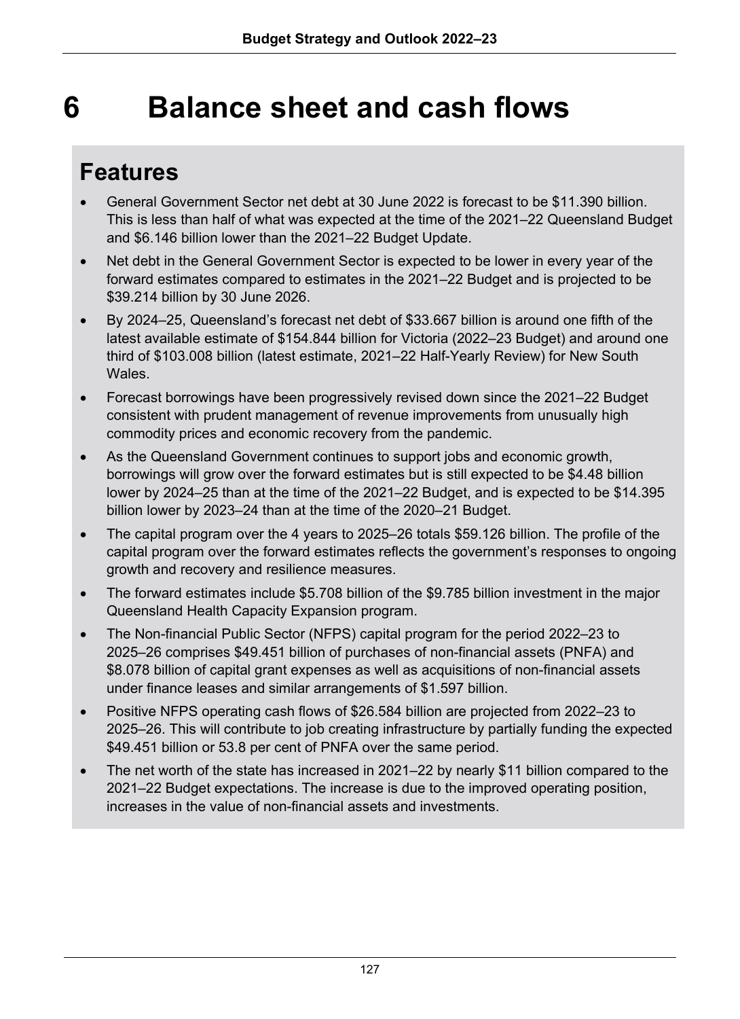# **6 Balance sheet and cash flows**

## **Features**

- General Government Sector net debt at 30 June 2022 is forecast to be \$11.390 billion. This is less than half of what was expected at the time of the 2021–22 Queensland Budget and \$6.146 billion lower than the 2021–22 Budget Update.
- Net debt in the General Government Sector is expected to be lower in every year of the forward estimates compared to estimates in the 2021–22 Budget and is projected to be \$39.214 billion by 30 June 2026.
- By 2024–25, Queensland's forecast net debt of \$33.667 billion is around one fifth of the latest available estimate of \$154.844 billion for Victoria (2022–23 Budget) and around one third of \$103.008 billion (latest estimate, 2021–22 Half-Yearly Review) for New South **Wales**
- Forecast borrowings have been progressively revised down since the 2021–22 Budget consistent with prudent management of revenue improvements from unusually high commodity prices and economic recovery from the pandemic.
- As the Queensland Government continues to support jobs and economic growth, borrowings will grow over the forward estimates but is still expected to be \$4.48 billion lower by 2024–25 than at the time of the 2021–22 Budget, and is expected to be \$14.395 billion lower by 2023–24 than at the time of the 2020–21 Budget.
- The capital program over the 4 years to 2025–26 totals \$59.126 billion. The profile of the capital program over the forward estimates reflects the government's responses to ongoing growth and recovery and resilience measures.
- The forward estimates include \$5.708 billion of the \$9.785 billion investment in the major Queensland Health Capacity Expansion program.
- The Non-financial Public Sector (NFPS) capital program for the period 2022–23 to 2025–26 comprises \$49.451 billion of purchases of non-financial assets (PNFA) and \$8.078 billion of capital grant expenses as well as acquisitions of non-financial assets under finance leases and similar arrangements of \$1.597 billion.
- Positive NFPS operating cash flows of \$26.584 billion are projected from 2022–23 to 2025–26. This will contribute to job creating infrastructure by partially funding the expected \$49.451 billion or 53.8 per cent of PNFA over the same period.
- The net worth of the state has increased in 2021–22 by nearly \$11 billion compared to the 2021–22 Budget expectations. The increase is due to the improved operating position, increases in the value of non-financial assets and investments.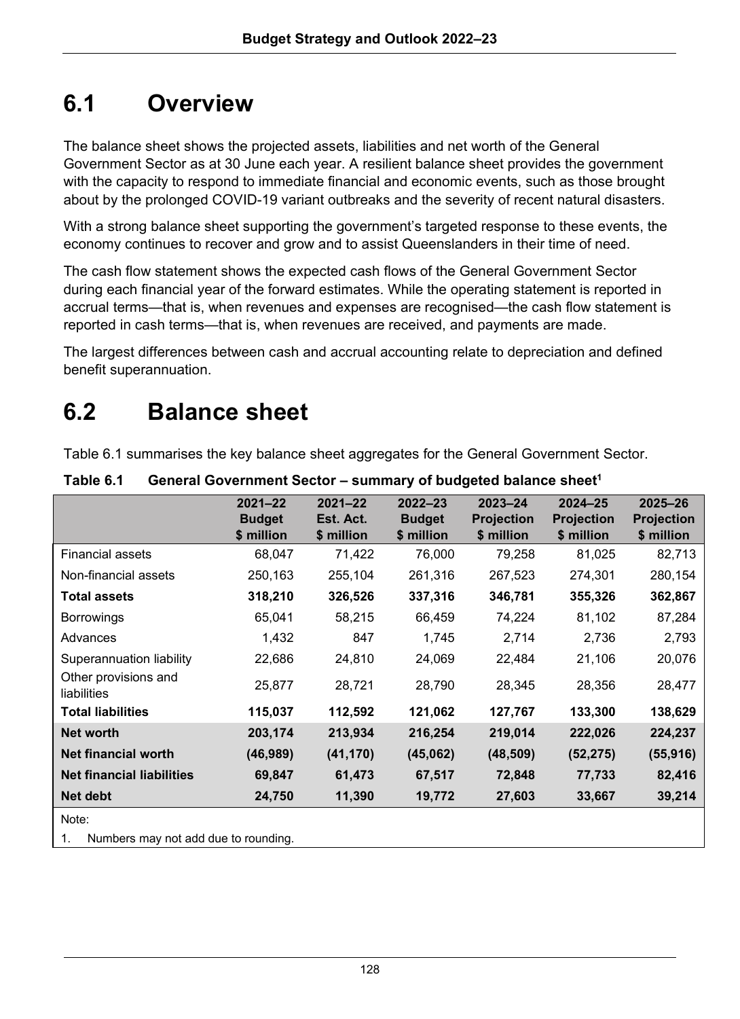## **6.1 Overview**

The balance sheet shows the projected assets, liabilities and net worth of the General Government Sector as at 30 June each year. A resilient balance sheet provides the government with the capacity to respond to immediate financial and economic events, such as those brought about by the prolonged COVID-19 variant outbreaks and the severity of recent natural disasters.

With a strong balance sheet supporting the government's targeted response to these events, the economy continues to recover and grow and to assist Queenslanders in their time of need.

The cash flow statement shows the expected cash flows of the General Government Sector during each financial year of the forward estimates. While the operating statement is reported in accrual terms—that is, when revenues and expenses are recognised—the cash flow statement is reported in cash terms—that is, when revenues are received, and payments are made.

The largest differences between cash and accrual accounting relate to depreciation and defined benefit superannuation.

## **6.2 Balance sheet**

Table 6.1 summarises the key balance sheet aggregates for the General Government Sector.

|                                            | $2021 - 22$<br><b>Budget</b><br>\$ million | $2021 - 22$<br>Est. Act.<br>\$ million | $2022 - 23$<br><b>Budget</b><br>\$ million | $2023 - 24$<br><b>Projection</b><br>\$ million | 2024-25<br><b>Projection</b><br>\$ million | 2025-26<br><b>Projection</b><br>\$ million |
|--------------------------------------------|--------------------------------------------|----------------------------------------|--------------------------------------------|------------------------------------------------|--------------------------------------------|--------------------------------------------|
| <b>Financial assets</b>                    | 68,047                                     | 71,422                                 | 76,000                                     | 79,258                                         | 81,025                                     | 82,713                                     |
| Non-financial assets                       | 250,163                                    | 255,104                                | 261,316                                    | 267,523                                        | 274,301                                    | 280,154                                    |
| <b>Total assets</b>                        | 318,210                                    | 326,526                                | 337,316                                    | 346,781                                        | 355,326                                    | 362,867                                    |
| <b>Borrowings</b>                          | 65,041                                     | 58,215                                 | 66,459                                     | 74,224                                         | 81,102                                     | 87,284                                     |
| Advances                                   | 1,432                                      | 847                                    | 1,745                                      | 2,714                                          | 2,736                                      | 2,793                                      |
| Superannuation liability                   | 22,686                                     | 24,810                                 | 24,069                                     | 22,484                                         | 21,106                                     | 20,076                                     |
| Other provisions and<br>liabilities        | 25,877                                     | 28,721                                 | 28,790                                     | 28,345                                         | 28,356                                     | 28,477                                     |
| <b>Total liabilities</b>                   | 115,037                                    | 112,592                                | 121,062                                    | 127,767                                        | 133,300                                    | 138,629                                    |
| <b>Net worth</b>                           | 203,174                                    | 213,934                                | 216,254                                    | 219,014                                        | 222,026                                    | 224,237                                    |
| <b>Net financial worth</b>                 | (46, 989)                                  | (41, 170)                              | (45,062)                                   | (48, 509)                                      | (52, 275)                                  | (55, 916)                                  |
| <b>Net financial liabilities</b>           | 69,847                                     | 61,473                                 | 67,517                                     | 72,848                                         | 77,733                                     | 82,416                                     |
| Net debt                                   | 24,750                                     | 11,390                                 | 19,772                                     | 27,603                                         | 33,667                                     | 39,214                                     |
| Note:                                      |                                            |                                        |                                            |                                                |                                            |                                            |
| Numbers may not add due to rounding.<br>1. |                                            |                                        |                                            |                                                |                                            |                                            |

Table 6.1 **General Government Sector – summary of budgeted balance sheet<sup>1</sup>**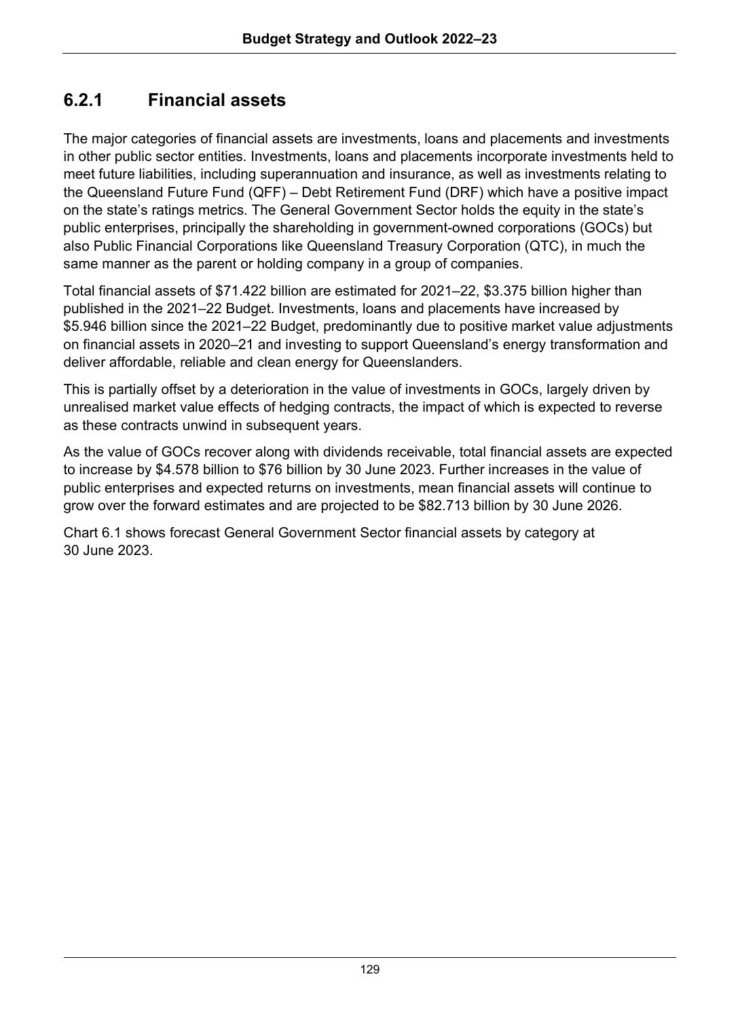### **6.2.1 Financial assets**

The major categories of financial assets are investments, loans and placements and investments in other public sector entities. Investments, loans and placements incorporate investments held to meet future liabilities, including superannuation and insurance, as well as investments relating to the Queensland Future Fund (QFF) – Debt Retirement Fund (DRF) which have a positive impact on the state's ratings metrics. The General Government Sector holds the equity in the state's public enterprises, principally the shareholding in government-owned corporations (GOCs) but also Public Financial Corporations like Queensland Treasury Corporation (QTC), in much the same manner as the parent or holding company in a group of companies.

Total financial assets of \$71.422 billion are estimated for 2021–22, \$3.375 billion higher than published in the 2021–22 Budget. Investments, loans and placements have increased by \$5.946 billion since the 2021–22 Budget, predominantly due to positive market value adjustments on financial assets in 2020–21 and investing to support Queensland's energy transformation and deliver affordable, reliable and clean energy for Queenslanders.

This is partially offset by a deterioration in the value of investments in GOCs, largely driven by unrealised market value effects of hedging contracts, the impact of which is expected to reverse as these contracts unwind in subsequent years.

As the value of GOCs recover along with dividends receivable, total financial assets are expected to increase by \$4.578 billion to \$76 billion by 30 June 2023. Further increases in the value of public enterprises and expected returns on investments, mean financial assets will continue to grow over the forward estimates and are projected to be \$82.713 billion by 30 June 2026.

Chart 6.1 shows forecast General Government Sector financial assets by category at 30 June 2023.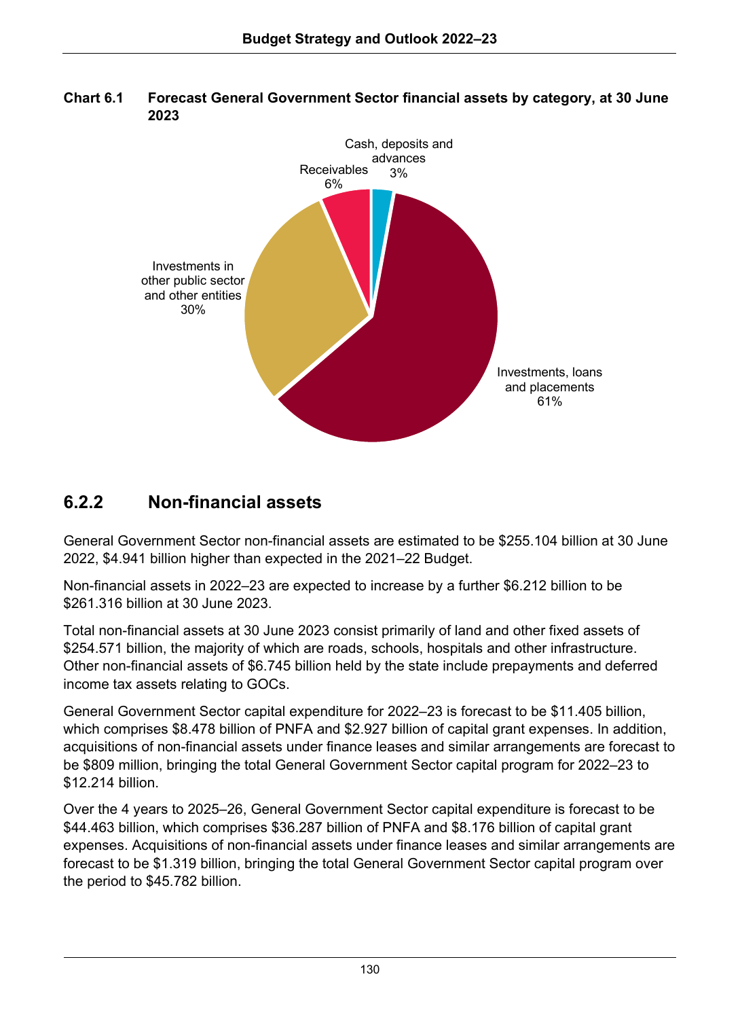

**Chart 6.1 Forecast General Government Sector financial assets by category, at 30 June 2023**

### **6.2.2 Non-financial assets**

General Government Sector non-financial assets are estimated to be \$255.104 billion at 30 June 2022, \$4.941 billion higher than expected in the 2021–22 Budget.

Non-financial assets in 2022–23 are expected to increase by a further \$6.212 billion to be \$261.316 billion at 30 June 2023.

Total non-financial assets at 30 June 2023 consist primarily of land and other fixed assets of \$254.571 billion, the majority of which are roads, schools, hospitals and other infrastructure. Other non-financial assets of \$6.745 billion held by the state include prepayments and deferred income tax assets relating to GOCs.

General Government Sector capital expenditure for 2022–23 is forecast to be \$11.405 billion, which comprises \$8.478 billion of PNFA and \$2.927 billion of capital grant expenses. In addition, acquisitions of non-financial assets under finance leases and similar arrangements are forecast to be \$809 million, bringing the total General Government Sector capital program for 2022–23 to \$12.214 billion.

Over the 4 years to 2025–26, General Government Sector capital expenditure is forecast to be \$44.463 billion, which comprises \$36.287 billion of PNFA and \$8.176 billion of capital grant expenses. Acquisitions of non-financial assets under finance leases and similar arrangements are forecast to be \$1.319 billion, bringing the total General Government Sector capital program over the period to \$45.782 billion.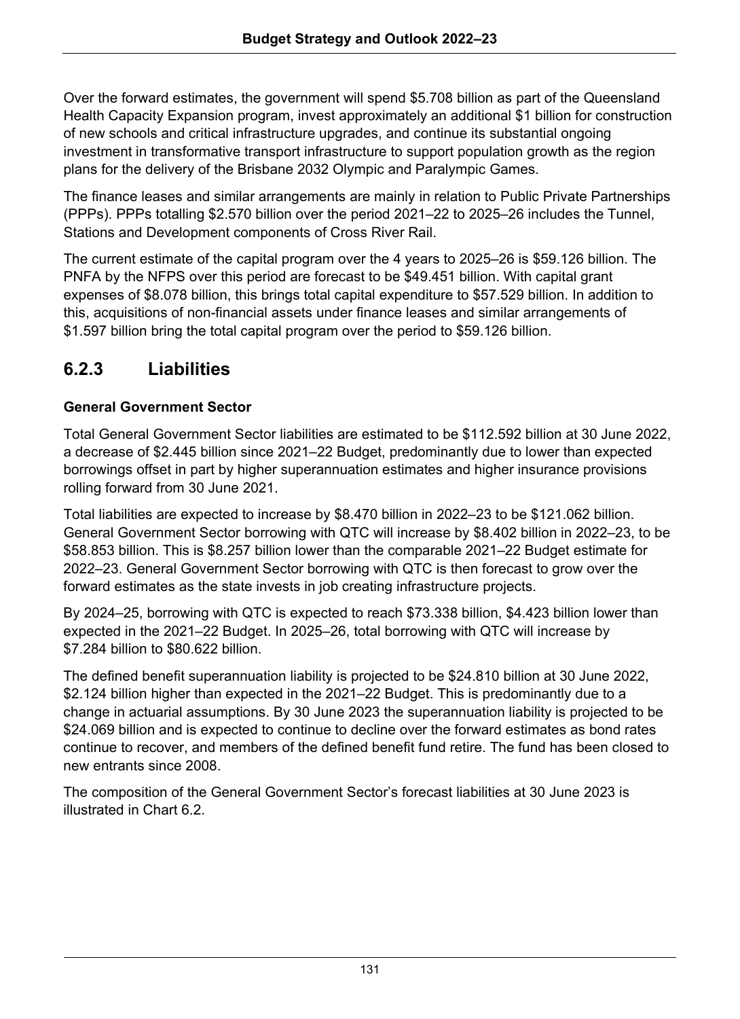Over the forward estimates, the government will spend \$5.708 billion as part of the Queensland Health Capacity Expansion program, invest approximately an additional \$1 billion for construction of new schools and critical infrastructure upgrades, and continue its substantial ongoing investment in transformative transport infrastructure to support population growth as the region plans for the delivery of the Brisbane 2032 Olympic and Paralympic Games.

The finance leases and similar arrangements are mainly in relation to Public Private Partnerships (PPPs). PPPs totalling \$2.570 billion over the period 2021–22 to 2025–26 includes the Tunnel, Stations and Development components of Cross River Rail.

The current estimate of the capital program over the 4 years to 2025–26 is \$59.126 billion. The PNFA by the NFPS over this period are forecast to be \$49.451 billion. With capital grant expenses of \$8.078 billion, this brings total capital expenditure to \$57.529 billion. In addition to this, acquisitions of non-financial assets under finance leases and similar arrangements of \$1.597 billion bring the total capital program over the period to \$59.126 billion.

## **6.2.3 Liabilities**

#### **General Government Sector**

Total General Government Sector liabilities are estimated to be \$112.592 billion at 30 June 2022, a decrease of \$2.445 billion since 2021–22 Budget, predominantly due to lower than expected borrowings offset in part by higher superannuation estimates and higher insurance provisions rolling forward from 30 June 2021.

Total liabilities are expected to increase by \$8.470 billion in 2022–23 to be \$121.062 billion. General Government Sector borrowing with QTC will increase by \$8.402 billion in 2022–23, to be \$58.853 billion. This is \$8.257 billion lower than the comparable 2021–22 Budget estimate for 2022–23. General Government Sector borrowing with QTC is then forecast to grow over the forward estimates as the state invests in job creating infrastructure projects.

By 2024–25, borrowing with QTC is expected to reach \$73.338 billion, \$4.423 billion lower than expected in the 2021–22 Budget. In 2025–26, total borrowing with QTC will increase by \$7.284 billion to \$80.622 billion.

The defined benefit superannuation liability is projected to be \$24.810 billion at 30 June 2022, \$2.124 billion higher than expected in the 2021–22 Budget. This is predominantly due to a change in actuarial assumptions. By 30 June 2023 the superannuation liability is projected to be \$24.069 billion and is expected to continue to decline over the forward estimates as bond rates continue to recover, and members of the defined benefit fund retire. The fund has been closed to new entrants since 2008.

The composition of the General Government Sector's forecast liabilities at 30 June 2023 is illustrated in Chart 6.2.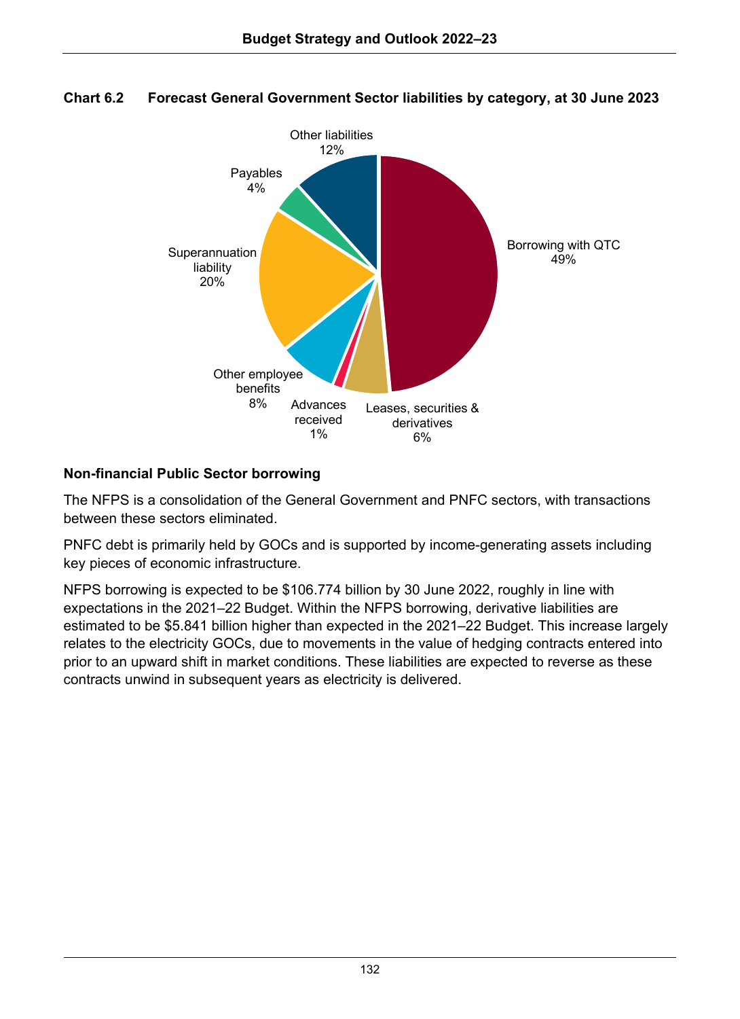

#### **Chart 6.2 Forecast General Government Sector liabilities by category, at 30 June 2023**

#### **Non-financial Public Sector borrowing**

The NFPS is a consolidation of the General Government and PNFC sectors, with transactions between these sectors eliminated.

PNFC debt is primarily held by GOCs and is supported by income-generating assets including key pieces of economic infrastructure.

NFPS borrowing is expected to be \$106.774 billion by 30 June 2022, roughly in line with expectations in the 2021–22 Budget. Within the NFPS borrowing, derivative liabilities are estimated to be \$5.841 billion higher than expected in the 2021–22 Budget. This increase largely relates to the electricity GOCs, due to movements in the value of hedging contracts entered into prior to an upward shift in market conditions. These liabilities are expected to reverse as these contracts unwind in subsequent years as electricity is delivered.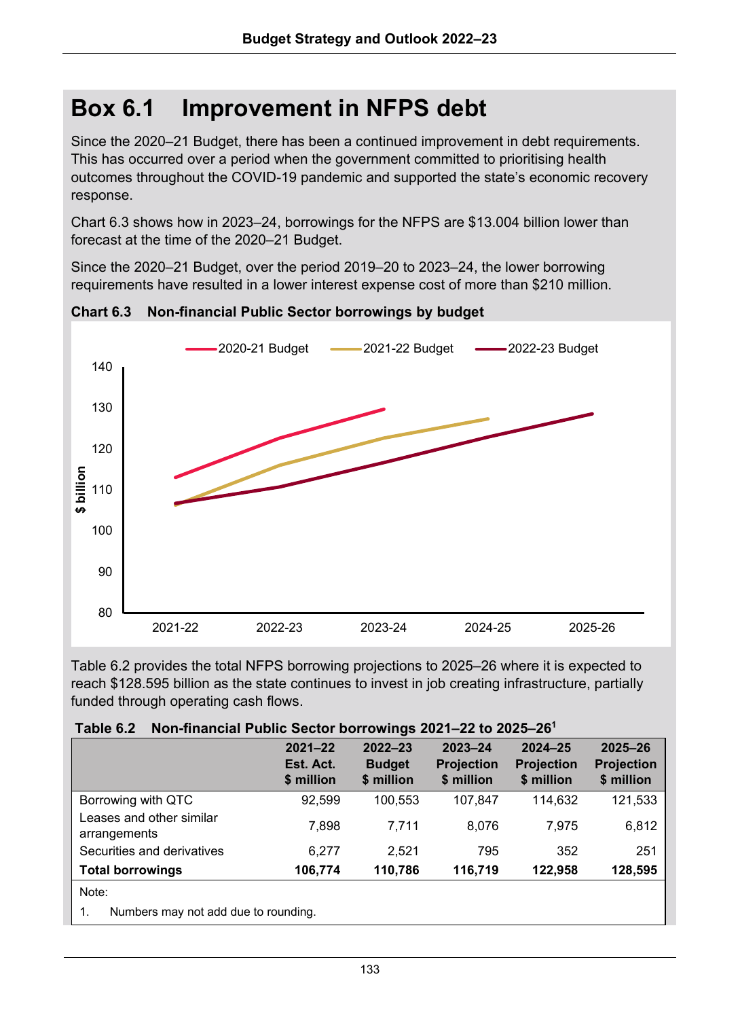## **Box 6.1 Improvement in NFPS debt**

Since the 2020–21 Budget, there has been a continued improvement in debt requirements. This has occurred over a period when the government committed to prioritising health outcomes throughout the COVID-19 pandemic and supported the state's economic recovery response.

Chart 6.3 shows how in 2023–24, borrowings for the NFPS are \$13.004 billion lower than forecast at the time of the 2020–21 Budget.

Since the 2020–21 Budget, over the period 2019–20 to 2023–24, the lower borrowing requirements have resulted in a lower interest expense cost of more than \$210 million.



**Chart 6.3 Non-financial Public Sector borrowings by budget**

Table 6.2 provides the total NFPS borrowing projections to 2025–26 where it is expected to reach \$128.595 billion as the state continues to invest in job creating infrastructure, partially funded through operating cash flows.

| $I$ unic v.a<br><b>NON-INTERNATIONALLY AND CONTRACT DOMINING</b> EVER THE TO EVER THE |                                        |                                            |                                                |                                                |                                                |  |
|---------------------------------------------------------------------------------------|----------------------------------------|--------------------------------------------|------------------------------------------------|------------------------------------------------|------------------------------------------------|--|
|                                                                                       | $2021 - 22$<br>Est. Act.<br>\$ million | $2022 - 23$<br><b>Budget</b><br>\$ million | $2023 - 24$<br><b>Projection</b><br>\$ million | $2024 - 25$<br><b>Projection</b><br>\$ million | $2025 - 26$<br><b>Projection</b><br>\$ million |  |
| Borrowing with QTC                                                                    | 92,599                                 | 100.553                                    | 107.847                                        | 114.632                                        | 121,533                                        |  |
| Leases and other similar<br>arrangements                                              | 7,898                                  | 7.711                                      | 8.076                                          | 7.975                                          | 6,812                                          |  |
| Securities and derivatives                                                            | 6.277                                  | 2.521                                      | 795                                            | 352                                            | 251                                            |  |
| <b>Total borrowings</b>                                                               | 106,774                                | 110,786                                    | 116,719                                        | 122.958                                        | 128,595                                        |  |
| Note:                                                                                 |                                        |                                            |                                                |                                                |                                                |  |
| Numbers may not add due to rounding.                                                  |                                        |                                            |                                                |                                                |                                                |  |

|  | Table 6.2 Non-financial Public Sector borrowings 2021-22 to 2025-26 <sup>1</sup> |  |  |  |  |
|--|----------------------------------------------------------------------------------|--|--|--|--|
|--|----------------------------------------------------------------------------------|--|--|--|--|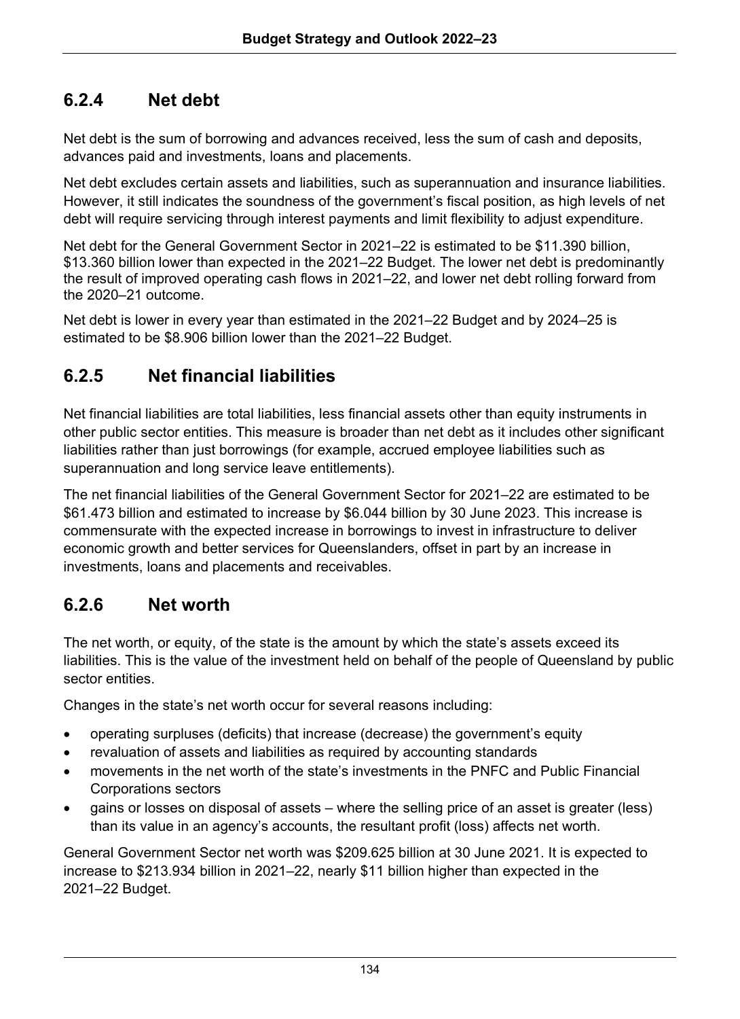### **6.2.4 Net debt**

Net debt is the sum of borrowing and advances received, less the sum of cash and deposits, advances paid and investments, loans and placements.

Net debt excludes certain assets and liabilities, such as superannuation and insurance liabilities. However, it still indicates the soundness of the government's fiscal position, as high levels of net debt will require servicing through interest payments and limit flexibility to adjust expenditure.

Net debt for the General Government Sector in 2021–22 is estimated to be \$11.390 billion, \$13.360 billion lower than expected in the 2021–22 Budget. The lower net debt is predominantly the result of improved operating cash flows in 2021–22, and lower net debt rolling forward from the 2020–21 outcome.

Net debt is lower in every year than estimated in the 2021–22 Budget and by 2024–25 is estimated to be \$8.906 billion lower than the 2021–22 Budget.

### **6.2.5 Net financial liabilities**

Net financial liabilities are total liabilities, less financial assets other than equity instruments in other public sector entities. This measure is broader than net debt as it includes other significant liabilities rather than just borrowings (for example, accrued employee liabilities such as superannuation and long service leave entitlements).

The net financial liabilities of the General Government Sector for 2021–22 are estimated to be \$61.473 billion and estimated to increase by \$6.044 billion by 30 June 2023. This increase is commensurate with the expected increase in borrowings to invest in infrastructure to deliver economic growth and better services for Queenslanders, offset in part by an increase in investments, loans and placements and receivables.

### **6.2.6 Net worth**

The net worth, or equity, of the state is the amount by which the state's assets exceed its liabilities. This is the value of the investment held on behalf of the people of Queensland by public sector entities.

Changes in the state's net worth occur for several reasons including:

- operating surpluses (deficits) that increase (decrease) the government's equity
- revaluation of assets and liabilities as required by accounting standards
- movements in the net worth of the state's investments in the PNFC and Public Financial Corporations sectors
- gains or losses on disposal of assets where the selling price of an asset is greater (less) than its value in an agency's accounts, the resultant profit (loss) affects net worth.

General Government Sector net worth was \$209.625 billion at 30 June 2021. It is expected to increase to \$213.934 billion in 2021–22, nearly \$11 billion higher than expected in the 2021–22 Budget.